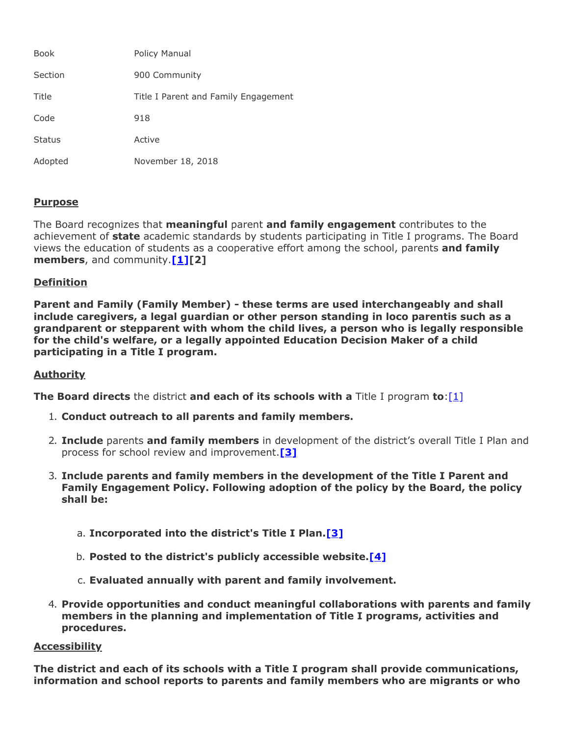| <b>Book</b>   | Policy Manual                        |
|---------------|--------------------------------------|
| Section       | 900 Community                        |
| Title         | Title I Parent and Family Engagement |
| Code          | 918                                  |
| <b>Status</b> | Active                               |
| Adopted       | November 18, 2018                    |

# **Purpose**

The Board recognizes that **meaningful** parent **and family engagement** contributes to the achievement of **state** academic standards by students participating in Title I programs. The Board views the education of students as a cooperative effort among the school, parents **and family members**, and community.**[1][2]**

### **Definition**

**Parent and Family (Family Member) - these terms are used interchangeably and shall include caregivers, a legal guardian or other person standing in loco parentis such as a grandparent or stepparent with whom the child lives, a person who is legally responsible for the child's welfare, or a legally appointed Education Decision Maker of a child participating in a Title I program.**

### **Authority**

**The Board directs** the district **and each of its schools with a** Title I program **to**:[1]

- 1. **Conduct outreach to all parents and family members.**
- 2. **Include** parents **and family members** in development of the district's overall Title I Plan and process for school review and improvement.**[3]**
- 3. **Include parents and family members in the development of the Title I Parent and Family Engagement Policy. Following adoption of the policy by the Board, the policy shall be:**
	- a. **Incorporated into the district's Title I Plan.[3]**
	- b. **Posted to the district's publicly accessible website.[4]**
	- c. **Evaluated annually with parent and family involvement.**
- 4. **Provide opportunities and conduct meaningful collaborations with parents and family members in the planning and implementation of Title I programs, activities and procedures.**

#### **Accessibility**

**The district and each of its schools with a Title I program shall provide communications, information and school reports to parents and family members who are migrants or who**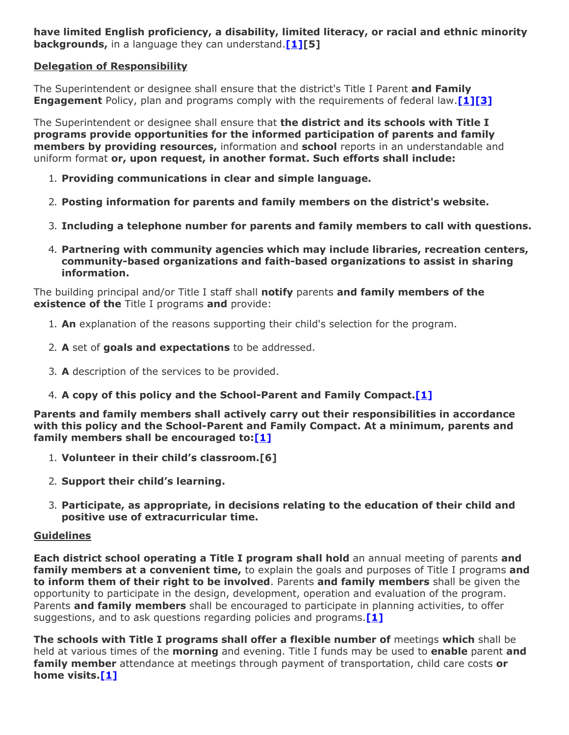**have limited English proficiency, a disability, limited literacy, or racial and ethnic minority backgrounds,** in a language they can understand.**[1][5]**

# **Delegation of Responsibility**

The Superintendent or designee shall ensure that the district's Title I Parent **and Family Engagement** Policy, plan and programs comply with the requirements of federal law.**[1][3]**

The Superintendent or designee shall ensure that **the district and its schools with Title I programs provide opportunities for the informed participation of parents and family members by providing resources,** information and **school** reports in an understandable and uniform format **or, upon request, in another format. Such efforts shall include:**

- 1. **Providing communications in clear and simple language.**
- 2. **Posting information for parents and family members on the district's website.**
- 3. **Including a telephone number for parents and family members to call with questions.**
- 4. **Partnering with community agencies which may include libraries, recreation centers, community-based organizations and faith-based organizations to assist in sharing information.**

The building principal and/or Title I staff shall **notify** parents **and family members of the existence of the** Title I programs **and** provide:

- 1. **An** explanation of the reasons supporting their child's selection for the program.
- 2. **A** set of **goals and expectations** to be addressed.
- 3. **A** description of the services to be provided.
- 4. **A copy of this policy and the School-Parent and Family Compact.[1]**

**Parents and family members shall actively carry out their responsibilities in accordance with this policy and the School-Parent and Family Compact. At a minimum, parents and family members shall be encouraged to:[1]**

- 1. **Volunteer in their child's classroom.[6]**
- 2. **Support their child's learning.**
- 3. **Participate, as appropriate, in decisions relating to the education of their child and positive use of extracurricular time.**

### **Guidelines**

**Each district school operating a Title I program shall hold** an annual meeting of parents **and family members at a convenient time,** to explain the goals and purposes of Title I programs **and to inform them of their right to be involved**. Parents **and family members** shall be given the opportunity to participate in the design, development, operation and evaluation of the program. Parents **and family members** shall be encouraged to participate in planning activities, to offer suggestions, and to ask questions regarding policies and programs.**[1]**

**The schools with Title I programs shall offer a flexible number of** meetings **which** shall be held at various times of the **morning** and evening. Title I funds may be used to **enable** parent **and family member** attendance at meetings through payment of transportation, child care costs **or home visits.[1]**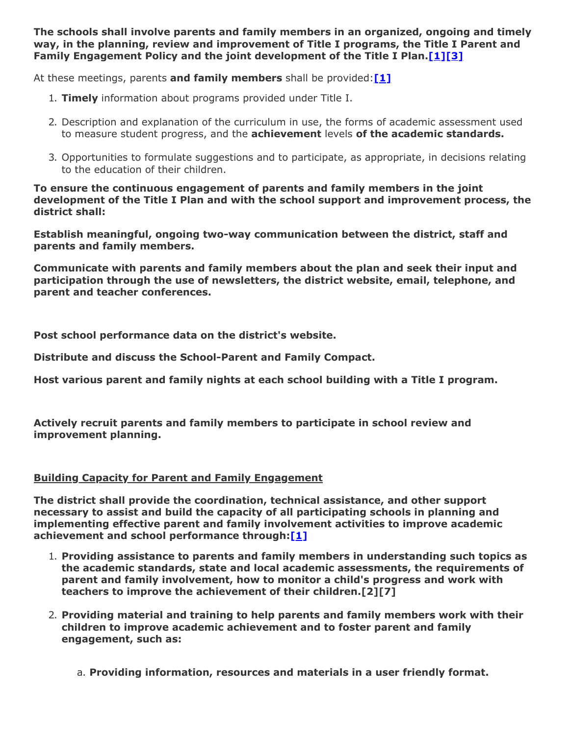**The schools shall involve parents and family members in an organized, ongoing and timely way, in the planning, review and improvement of Title I programs, the Title I Parent and Family Engagement Policy and the joint development of the Title I Plan.[1][3]**

At these meetings, parents **and family members** shall be provided:**[1]**

- 1. **Timely** information about programs provided under Title I.
- 2. Description and explanation of the curriculum in use, the forms of academic assessment used to measure student progress, and the **achievement** levels **of the academic standards.**
- 3. Opportunities to formulate suggestions and to participate, as appropriate, in decisions relating to the education of their children.

**To ensure the continuous engagement of parents and family members in the joint development of the Title I Plan and with the school support and improvement process, the district shall:**

**Establish meaningful, ongoing two-way communication between the district, staff and parents and family members.**

**Communicate with parents and family members about the plan and seek their input and participation through the use of newsletters, the district website, email, telephone, and parent and teacher conferences.**

**Post school performance data on the district's website.**

**Distribute and discuss the School-Parent and Family Compact.**

**Host various parent and family nights at each school building with a Title I program.**

**Actively recruit parents and family members to participate in school review and improvement planning.**

### **Building Capacity for Parent and Family Engagement**

**The district shall provide the coordination, technical assistance, and other support necessary to assist and build the capacity of all participating schools in planning and implementing effective parent and family involvement activities to improve academic achievement and school performance through:[1]**

- 1. **Providing assistance to parents and family members in understanding such topics as the academic standards, state and local academic assessments, the requirements of parent and family involvement, how to monitor a child's progress and work with teachers to improve the achievement of their children.[2][7]**
- 2. **Providing material and training to help parents and family members work with their children to improve academic achievement and to foster parent and family engagement, such as:**
	- a. **Providing information, resources and materials in a user friendly format.**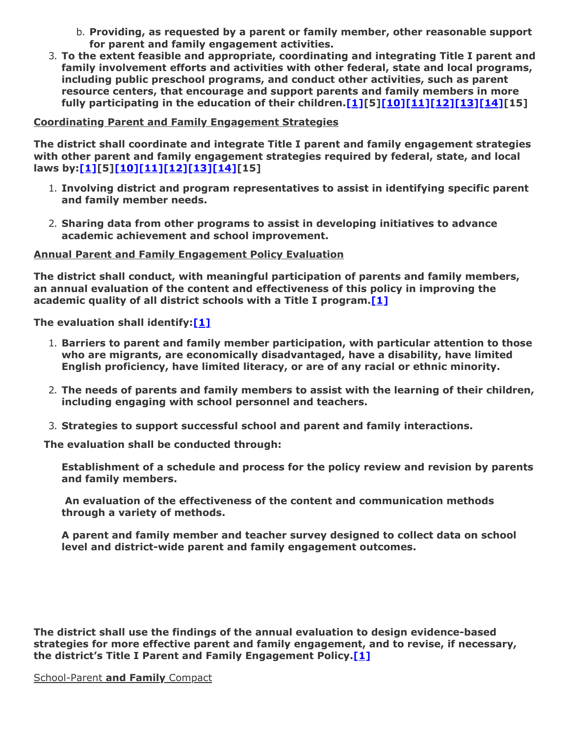- b. **Providing, as requested by a parent or family member, other reasonable support for parent and family engagement activities.**
- 3. **To the extent feasible and appropriate, coordinating and integrating Title I parent and family involvement efforts and activities with other federal, state and local programs, including public preschool programs, and conduct other activities, such as parent resource centers, that encourage and support parents and family members in more fully participating in the education of their children.[1][5][10][11][12][13][14][15]**

# **Coordinating Parent and Family Engagement Strategies**

**The district shall coordinate and integrate Title I parent and family engagement strategies with other parent and family engagement strategies required by federal, state, and local laws by:[1][5][10][11][12][13][14][15]**

- 1. **Involving district and program representatives to assist in identifying specific parent and family member needs.**
- 2. **Sharing data from other programs to assist in developing initiatives to advance academic achievement and school improvement.**

### **Annual Parent and Family Engagement Policy Evaluation**

**The district shall conduct, with meaningful participation of parents and family members, an annual evaluation of the content and effectiveness of this policy in improving the academic quality of all district schools with a Title I program.[1]**

**The evaluation shall identify:[1]**

- 1. **Barriers to parent and family member participation, with particular attention to those who are migrants, are economically disadvantaged, have a disability, have limited English proficiency, have limited literacy, or are of any racial or ethnic minority.**
- 2. **The needs of parents and family members to assist with the learning of their children, including engaging with school personnel and teachers.**
- 3. **Strategies to support successful school and parent and family interactions.**

 **The evaluation shall be conducted through:**

**Establishment of a schedule and process for the policy review and revision by parents and family members.**

 **An evaluation of the effectiveness of the content and communication methods through a variety of methods.**

**A parent and family member and teacher survey designed to collect data on school level and district-wide parent and family engagement outcomes.**

**The district shall use the findings of the annual evaluation to design evidence-based strategies for more effective parent and family engagement, and to revise, if necessary, the district's Title I Parent and Family Engagement Policy.[1]**

School-Parent **and Family** Compact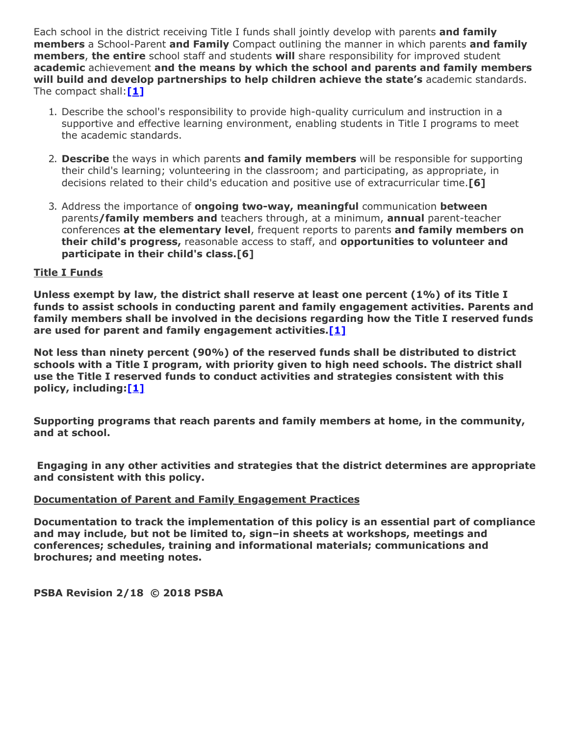Each school in the district receiving Title I funds shall jointly develop with parents **and family members** a School-Parent **and Family** Compact outlining the manner in which parents **and family members**, **the entire** school staff and students **will** share responsibility for improved student **academic** achievement **and the means by which the school and parents and family members will build and develop partnerships to help children achieve the state's** academic standards. The compact shall:**[1]**

- 1. Describe the school's responsibility to provide high-quality curriculum and instruction in a supportive and effective learning environment, enabling students in Title I programs to meet the academic standards.
- 2. **Describe** the ways in which parents **and family members** will be responsible for supporting their child's learning; volunteering in the classroom; and participating, as appropriate, in decisions related to their child's education and positive use of extracurricular time.**[6]**
- 3. Address the importance of **ongoing two-way, meaningful** communication **between** parents**/family members and** teachers through, at a minimum, **annual** parent-teacher conferences **at the elementary level**, frequent reports to parents **and family members on their child's progress,** reasonable access to staff, and **opportunities to volunteer and participate in their child's class.[6]**

# **Title I Funds**

**Unless exempt by law, the district shall reserve at least one percent (1%) of its Title I funds to assist schools in conducting parent and family engagement activities. Parents and family members shall be involved in the decisions regarding how the Title I reserved funds are used for parent and family engagement activities.[1]**

**Not less than ninety percent (90%) of the reserved funds shall be distributed to district schools with a Title I program, with priority given to high need schools. The district shall use the Title I reserved funds to conduct activities and strategies consistent with this policy, including:[1]**

**Supporting programs that reach parents and family members at home, in the community, and at school.**

 **Engaging in any other activities and strategies that the district determines are appropriate and consistent with this policy.**

### **Documentation of Parent and Family Engagement Practices**

**Documentation to track the implementation of this policy is an essential part of compliance and may include, but not be limited to, sign–in sheets at workshops, meetings and conferences; schedules, training and informational materials; communications and brochures; and meeting notes.**

**PSBA Revision 2/18 © 2018 PSBA**